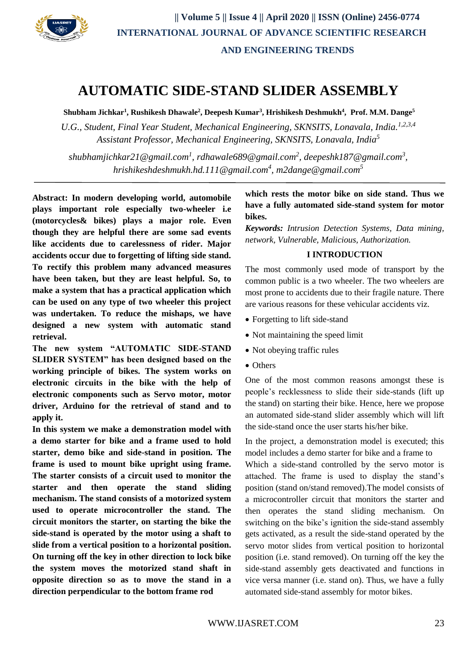

# **AUTOMATIC SIDE-STAND SLIDER ASSEMBLY**

**Shubham Jichkar<sup>1</sup> , Rushikesh Dhawale<sup>2</sup> , Deepesh Kumar<sup>3</sup> , Hrishikesh Deshmukh<sup>4</sup> , Prof. M.M. Dange<sup>5</sup>**

*U.G., Student, Final Year Student, Mechanical Engineering, SKNSITS, Lonavala, India.1,2,3,4 Assistant Professor, Mechanical Engineering, SKNSITS, Lonavala, India<sup>5</sup>*

 $shubhamjichkar21@gmail.com^1$  $shubhamjichkar21@gmail.com^1$ ,  $rdhawale689@gmail.com^2$ ,  $deepeshk187@gmail.com^3$ , *[hrishikeshdeshmukh.hd.111@gmail.com](mailto:hrishikeshdeshmukh.hd.111@gmail.com)<sup>4</sup> , m2dange@gmail.com<sup>5</sup>* 

**Abstract: In modern developing world, automobile plays important role especially two-wheeler i.e (motorcycles& bikes) plays a major role. Even though they are helpful there are some sad events like accidents due to carelessness of rider. Major accidents occur due to forgetting of lifting side stand. To rectify this problem many advanced measures have been taken, but they are least helpful. So, to make a system that has a practical application which can be used on any type of two wheeler this project was undertaken. To reduce the mishaps, we have designed a new system with automatic stand retrieval.** 

**The new system "AUTOMATIC SIDE-STAND SLIDER SYSTEM" has been designed based on the working principle of bikes. The system works on electronic circuits in the bike with the help of electronic components such as Servo motor, motor driver, Arduino for the retrieval of stand and to apply it.**

**In this system we make a demonstration model with a demo starter for bike and a frame used to hold starter, demo bike and side-stand in position. The frame is used to mount bike upright using frame. The starter consists of a circuit used to monitor the starter and then operate the stand sliding mechanism. The stand consists of a motorized system used to operate microcontroller the stand. The circuit monitors the starter, on starting the bike the side-stand is operated by the motor using a shaft to slide from a vertical position to a horizontal position. On turning off the key in other direction to lock bike the system moves the motorized stand shaft in opposite direction so as to move the stand in a direction perpendicular to the bottom frame rod** 

**which rests the motor bike on side stand. Thus we have a fully automated side-stand system for motor bikes.**

*Keywords: Intrusion Detection Systems, Data mining, network, Vulnerable, Malicious, Authorization.*

#### **I INTRODUCTION**

The most commonly used mode of transport by the common public is a two wheeler. The two wheelers are most prone to accidents due to their fragile nature. There are various reasons for these vehicular accidents viz.

- Forgetting to lift side-stand
- Not maintaining the speed limit
- Not obeying traffic rules
- Others

One of the most common reasons amongst these is people's recklessness to slide their side-stands (lift up the stand) on starting their bike. Hence, here we propose an automated side-stand slider assembly which will lift the side-stand once the user starts his/her bike.

In the project, a demonstration model is executed; this model includes a demo starter for bike and a frame to Which a side-stand controlled by the servo motor is attached. The frame is used to display the stand's position (stand on/stand removed).The model consists of a microcontroller circuit that monitors the starter and then operates the stand sliding mechanism. On switching on the bike's ignition the side-stand assembly gets activated, as a result the side-stand operated by the servo motor slides from vertical position to horizontal position (i.e. stand removed). On turning off the key the side-stand assembly gets deactivated and functions in vice versa manner (i.e. stand on). Thus, we have a fully automated side-stand assembly for motor bikes.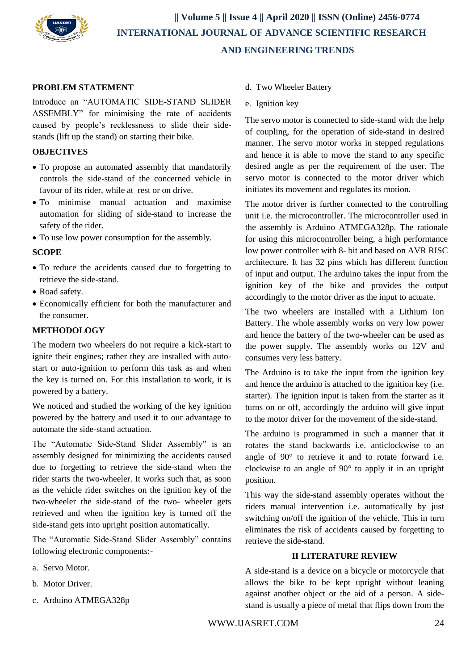

#### **PROBLEM STATEMENT**

Introduce an "AUTOMATIC SIDE-STAND SLIDER ASSEMBLY" for minimising the rate of accidents caused by people's recklessness to slide their sidestands (lift up the stand) on starting their bike.

#### **OBJECTIVES**

- To propose an automated assembly that mandatorily controls the side-stand of the concerned vehicle in favour of its rider, while at rest or on drive.
- To minimise manual actuation and maximise automation for sliding of side-stand to increase the safety of the rider.
- To use low power consumption for the assembly.

#### **SCOPE**

- To reduce the accidents caused due to forgetting to retrieve the side-stand.
- Road safety.
- Economically efficient for both the manufacturer and the consumer.

#### **METHODOLOGY**

The modern two wheelers do not require a kick-start to ignite their engines; rather they are installed with autostart or auto-ignition to perform this task as and when the key is turned on. For this installation to work, it is powered by a battery.

We noticed and studied the working of the key ignition powered by the battery and used it to our advantage to automate the side-stand actuation.

The "Automatic Side-Stand Slider Assembly" is an assembly designed for minimizing the accidents caused due to forgetting to retrieve the side-stand when the rider starts the two-wheeler. It works such that, as soon as the vehicle rider switches on the ignition key of the two-wheeler the side-stand of the two- wheeler gets retrieved and when the ignition key is turned off the side-stand gets into upright position automatically.

The "Automatic Side-Stand Slider Assembly" contains following electronic components:-

- a. Servo Motor.
- b. Motor Driver.
- c. Arduino ATMEGA328p
- d. Two Wheeler Battery
- e. Ignition key

The servo motor is connected to side-stand with the help of coupling, for the operation of side-stand in desired manner. The servo motor works in stepped regulations and hence it is able to move the stand to any specific desired angle as per the requirement of the user. The servo motor is connected to the motor driver which initiates its movement and regulates its motion.

The motor driver is further connected to the controlling unit i.e. the microcontroller. The microcontroller used in the assembly is Arduino ATMEGA328p. The rationale for using this microcontroller being, a high performance low power controller with 8- bit and based on AVR RISC architecture. It has 32 pins which has different function of input and output. The arduino takes the input from the ignition key of the bike and provides the output accordingly to the motor driver as the input to actuate.

The two wheelers are installed with a Lithium Ion Battery. The whole assembly works on very low power and hence the battery of the two-wheeler can be used as the power supply. The assembly works on 12V and consumes very less battery.

The Arduino is to take the input from the ignition key and hence the arduino is attached to the ignition key (i.e. starter). The ignition input is taken from the starter as it turns on or off, accordingly the arduino will give input to the motor driver for the movement of the side-stand.

The arduino is programmed in such a manner that it rotates the stand backwards i.e. anticlockwise to an angle of 90° to retrieve it and to rotate forward i.e. clockwise to an angle of 90° to apply it in an upright position.

This way the side-stand assembly operates without the riders manual intervention i.e. automatically by just switching on/off the ignition of the vehicle. This in turn eliminates the risk of accidents caused by forgetting to retrieve the side-stand.

#### **II LITERATURE REVIEW**

A side-stand is a device on a bicycle or motorcycle that allows the bike to be kept upright without leaning against another object or the aid of a person. A sidestand is usually a piece of metal that flips down from the

WWW.IJASRET.COM 24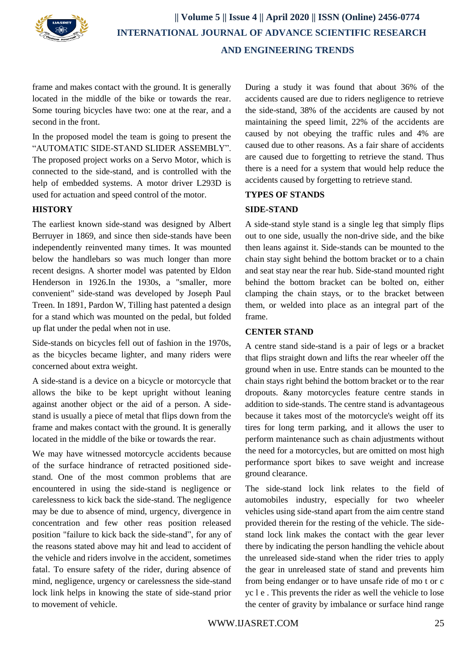

frame and makes contact with the ground. It is generally located in the middle of the bike or towards the rear. Some touring bicycles have two: one at the rear, and a second in the front.

In the proposed model the team is going to present the "AUTOMATIC SIDE-STAND SLIDER ASSEMBLY". The proposed project works on a Servo Motor, which is connected to the side-stand, and is controlled with the help of embedded systems. A motor driver L293D is used for actuation and speed control of the motor.

## **HISTORY**

The earliest known side-stand was designed by Albert Berruyer in 1869, and since then side-stands have been independently reinvented many times. It was mounted below the handlebars so was much longer than more recent designs. A shorter model was patented by Eldon Henderson in 1926.In the 1930s, a "smaller, more convenient" side-stand was developed by Joseph Paul Treen. In 1891, Pardon W, Tilling hast patented a design for a stand which was mounted on the pedal, but folded up flat under the pedal when not in use.

Side-stands on bicycles fell out of fashion in the 1970s, as the bicycles became lighter, and many riders were concerned about extra weight.

A side-stand is a device on a bicycle or motorcycle that allows the bike to be kept upright without leaning against another object or the aid of a person. A sidestand is usually a piece of metal that flips down from the frame and makes contact with the ground. It is generally located in the middle of the bike or towards the rear.

We may have witnessed motorcycle accidents because of the surface hindrance of retracted positioned sidestand. One of the most common problems that are encountered in using the side-stand is negligence or carelessness to kick back the side-stand. The negligence may be due to absence of mind, urgency, divergence in concentration and few other reas position released position "failure to kick back the side-stand", for any of the reasons stated above may hit and lead to accident of the vehicle and riders involve in the accident, sometimes fatal. To ensure safety of the rider, during absence of mind, negligence, urgency or carelessness the side-stand lock link helps in knowing the state of side-stand prior to movement of vehicle.

During a study it was found that about 36% of the accidents caused are due to riders negligence to retrieve the side-stand, 38% of the accidents are caused by not maintaining the speed limit, 22% of the accidents are caused by not obeying the traffic rules and 4% are caused due to other reasons. As a fair share of accidents are caused due to forgetting to retrieve the stand. Thus there is a need for a system that would help reduce the accidents caused by forgetting to retrieve stand.

## **TYPES OF STANDS**

## **SIDE-STAND**

A side-stand style stand is a single leg that simply flips out to one side, usually the non-drive side, and the bike then leans against it. Side-stands can be mounted to the chain stay sight behind the bottom bracket or to a chain and seat stay near the rear hub. Side-stand mounted right behind the bottom bracket can be bolted on, either clamping the chain stays, or to the bracket between them, or welded into place as an integral part of the frame.

## **CENTER STAND**

A centre stand side-stand is a pair of legs or a bracket that flips straight down and lifts the rear wheeler off the ground when in use. Entre stands can be mounted to the chain stays right behind the bottom bracket or to the rear dropouts. &any motorcycles feature centre stands in addition to side-stands. The centre stand is advantageous because it takes most of the motorcycle's weight off its tires for long term parking, and it allows the user to perform maintenance such as chain adjustments without the need for a motorcycles, but are omitted on most high performance sport bikes to save weight and increase ground clearance.

The side-stand lock link relates to the field of automobiles industry, especially for two wheeler vehicles using side-stand apart from the aim centre stand provided therein for the resting of the vehicle. The sidestand lock link makes the contact with the gear lever there by indicating the person handling the vehicle about the unreleased side-stand when the rider tries to apply the gear in unreleased state of stand and prevents him from being endanger or to have unsafe ride of mo t or c yc l e . This prevents the rider as well the vehicle to lose the center of gravity by imbalance or surface hind range

WWW.IJASRET.COM 25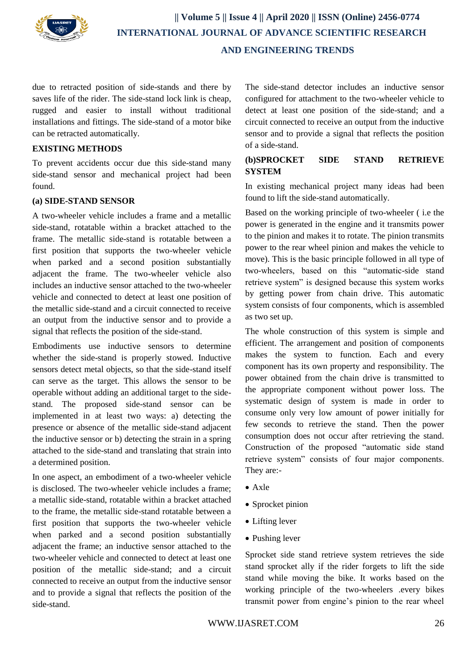

due to retracted position of side-stands and there by saves life of the rider. The side-stand lock link is cheap, rugged and easier to install without traditional installations and fittings. The side-stand of a motor bike can be retracted automatically.

#### **EXISTING METHODS**

To prevent accidents occur due this side-stand many side-stand sensor and mechanical project had been found.

#### **(a) SIDE-STAND SENSOR**

A two-wheeler vehicle includes a frame and a metallic side-stand, rotatable within a bracket attached to the frame. The metallic side-stand is rotatable between a first position that supports the two-wheeler vehicle when parked and a second position substantially adjacent the frame. The two-wheeler vehicle also includes an inductive sensor attached to the two-wheeler vehicle and connected to detect at least one position of the metallic side-stand and a circuit connected to receive an output from the inductive sensor and to provide a signal that reflects the position of the side-stand.

Embodiments use inductive sensors to determine whether the side-stand is properly stowed. Inductive sensors detect metal objects, so that the side-stand itself can serve as the target. This allows the sensor to be operable without adding an additional target to the sidestand. The proposed side-stand sensor can be implemented in at least two ways: a) detecting the presence or absence of the metallic side-stand adjacent the inductive sensor or b) detecting the strain in a spring attached to the side-stand and translating that strain into a determined position.

In one aspect, an embodiment of a two-wheeler vehicle is disclosed. The two-wheeler vehicle includes a frame; a metallic side-stand, rotatable within a bracket attached to the frame, the metallic side-stand rotatable between a first position that supports the two-wheeler vehicle when parked and a second position substantially adjacent the frame; an inductive sensor attached to the two-wheeler vehicle and connected to detect at least one position of the metallic side-stand; and a circuit connected to receive an output from the inductive sensor and to provide a signal that reflects the position of the side-stand.

The side-stand detector includes an inductive sensor configured for attachment to the two-wheeler vehicle to detect at least one position of the side-stand; and a circuit connected to receive an output from the inductive sensor and to provide a signal that reflects the position of a side-stand.

## **(b)SPROCKET SIDE STAND RETRIEVE SYSTEM**

In existing mechanical project many ideas had been found to lift the side-stand automatically.

Based on the working principle of two-wheeler ( i.e the power is generated in the engine and it transmits power to the pinion and makes it to rotate. The pinion transmits power to the rear wheel pinion and makes the vehicle to move). This is the basic principle followed in all type of two-wheelers, based on this "automatic-side stand retrieve system" is designed because this system works by getting power from chain drive. This automatic system consists of four components, which is assembled as two set up.

The whole construction of this system is simple and efficient. The arrangement and position of components makes the system to function. Each and every component has its own property and responsibility. The power obtained from the chain drive is transmitted to the appropriate component without power loss. The systematic design of system is made in order to consume only very low amount of power initially for few seconds to retrieve the stand. Then the power consumption does not occur after retrieving the stand. Construction of the proposed "automatic side stand retrieve system" consists of four major components. They are:-

- Axle
- Sprocket pinion
- Lifting lever
- Pushing lever

Sprocket side stand retrieve system retrieves the side stand sprocket ally if the rider forgets to lift the side stand while moving the bike. It works based on the working principle of the two-wheelers .every bikes transmit power from engine's pinion to the rear wheel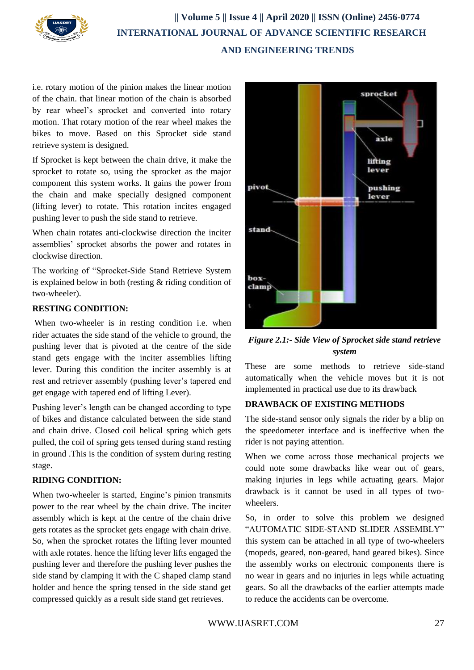

i.e. rotary motion of the pinion makes the linear motion of the chain. that linear motion of the chain is absorbed by rear wheel's sprocket and converted into rotary motion. That rotary motion of the rear wheel makes the bikes to move. Based on this Sprocket side stand retrieve system is designed.

If Sprocket is kept between the chain drive, it make the sprocket to rotate so, using the sprocket as the major component this system works. It gains the power from the chain and make specially designed component (lifting lever) to rotate. This rotation incites engaged pushing lever to push the side stand to retrieve.

When chain rotates anti-clockwise direction the inciter assemblies' sprocket absorbs the power and rotates in clockwise direction.

The working of "Sprocket-Side Stand Retrieve System is explained below in both (resting & riding condition of two-wheeler).

## **RESTING CONDITION:**

When two-wheeler is in resting condition *i.e.* when rider actuates the side stand of the vehicle to ground, the pushing lever that is pivoted at the centre of the side stand gets engage with the inciter assemblies lifting lever. During this condition the inciter assembly is at rest and retriever assembly (pushing lever's tapered end get engage with tapered end of lifting Lever).

Pushing lever's length can be changed according to type of bikes and distance calculated between the side stand and chain drive. Closed coil helical spring which gets pulled, the coil of spring gets tensed during stand resting in ground .This is the condition of system during resting stage.

#### **RIDING CONDITION:**

When two-wheeler is started, Engine's pinion transmits power to the rear wheel by the chain drive. The inciter assembly which is kept at the centre of the chain drive gets rotates as the sprocket gets engage with chain drive. So, when the sprocket rotates the lifting lever mounted with axle rotates. hence the lifting lever lifts engaged the pushing lever and therefore the pushing lever pushes the side stand by clamping it with the C shaped clamp stand holder and hence the spring tensed in the side stand get compressed quickly as a result side stand get retrieves.



*Figure 2.1:- Side View of Sprocket side stand retrieve system*

These are some methods to retrieve side-stand automatically when the vehicle moves but it is not implemented in practical use due to its drawback

## **DRAWBACK OF EXISTING METHODS**

The side-stand sensor only signals the rider by a blip on the speedometer interface and is ineffective when the rider is not paying attention.

When we come across those mechanical projects we could note some drawbacks like wear out of gears, making injuries in legs while actuating gears. Major drawback is it cannot be used in all types of twowheelers.

So, in order to solve this problem we designed "AUTOMATIC SIDE-STAND SLIDER ASSEMBLY" this system can be attached in all type of two-wheelers (mopeds, geared, non-geared, hand geared bikes). Since the assembly works on electronic components there is no wear in gears and no injuries in legs while actuating gears. So all the drawbacks of the earlier attempts made to reduce the accidents can be overcome.

WWW.IJASRET.COM 27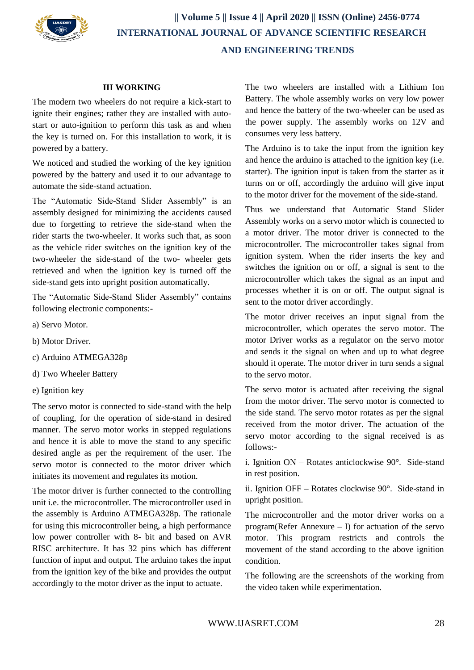

#### **III WORKING**

The modern two wheelers do not require a kick-start to ignite their engines; rather they are installed with autostart or auto-ignition to perform this task as and when the key is turned on. For this installation to work, it is powered by a battery.

We noticed and studied the working of the key ignition powered by the battery and used it to our advantage to automate the side-stand actuation.

The "Automatic Side-Stand Slider Assembly" is an assembly designed for minimizing the accidents caused due to forgetting to retrieve the side-stand when the rider starts the two-wheeler. It works such that, as soon as the vehicle rider switches on the ignition key of the two-wheeler the side-stand of the two- wheeler gets retrieved and when the ignition key is turned off the side-stand gets into upright position automatically.

The "Automatic Side-Stand Slider Assembly" contains following electronic components:-

- a) Servo Motor.
- b) Motor Driver.
- c) Arduino ATMEGA328p
- d) Two Wheeler Battery
- e) Ignition key

The servo motor is connected to side-stand with the help of coupling, for the operation of side-stand in desired manner. The servo motor works in stepped regulations and hence it is able to move the stand to any specific desired angle as per the requirement of the user. The servo motor is connected to the motor driver which initiates its movement and regulates its motion.

The motor driver is further connected to the controlling unit i.e. the microcontroller. The microcontroller used in the assembly is Arduino ATMEGA328p. The rationale for using this microcontroller being, a high performance low power controller with 8- bit and based on AVR RISC architecture. It has 32 pins which has different function of input and output. The arduino takes the input from the ignition key of the bike and provides the output accordingly to the motor driver as the input to actuate.

The two wheelers are installed with a Lithium Ion Battery. The whole assembly works on very low power and hence the battery of the two-wheeler can be used as the power supply. The assembly works on 12V and consumes very less battery.

The Arduino is to take the input from the ignition key and hence the arduino is attached to the ignition key (i.e. starter). The ignition input is taken from the starter as it turns on or off, accordingly the arduino will give input to the motor driver for the movement of the side-stand.

Thus we understand that Automatic Stand Slider Assembly works on a servo motor which is connected to a motor driver. The motor driver is connected to the microcontroller. The microcontroller takes signal from ignition system. When the rider inserts the key and switches the ignition on or off, a signal is sent to the microcontroller which takes the signal as an input and processes whether it is on or off. The output signal is sent to the motor driver accordingly.

The motor driver receives an input signal from the microcontroller, which operates the servo motor. The motor Driver works as a regulator on the servo motor and sends it the signal on when and up to what degree should it operate. The motor driver in turn sends a signal to the servo motor.

The servo motor is actuated after receiving the signal from the motor driver. The servo motor is connected to the side stand. The servo motor rotates as per the signal received from the motor driver. The actuation of the servo motor according to the signal received is as follows:-

i. Ignition ON – Rotates anticlockwise 90°. Side-stand in rest position.

ii. Ignition OFF – Rotates clockwise 90°. Side-stand in upright position.

The microcontroller and the motor driver works on a program(Refer Annexure  $-$  I) for actuation of the servo motor. This program restricts and controls the movement of the stand according to the above ignition condition.

The following are the screenshots of the working from the video taken while experimentation.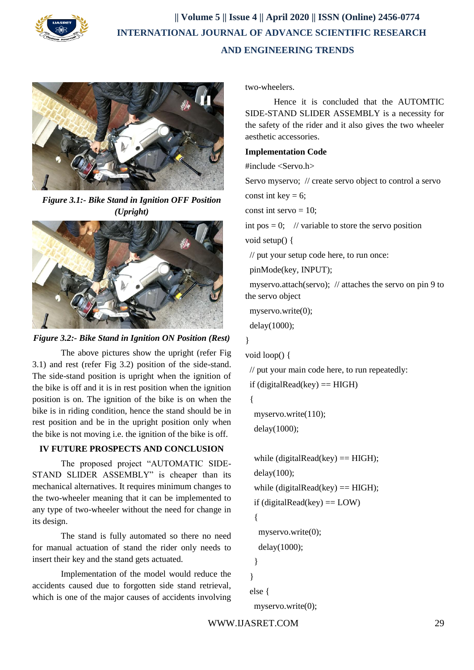



*Figure 3.1:- Bike Stand in Ignition OFF Position (Upright)*



## *Figure 3.2:- Bike Stand in Ignition ON Position (Rest)*

The above pictures show the upright (refer Fig 3.1) and rest (refer Fig 3.2) position of the side-stand. The side-stand position is upright when the ignition of the bike is off and it is in rest position when the ignition position is on. The ignition of the bike is on when the bike is in riding condition, hence the stand should be in rest position and be in the upright position only when the bike is not moving i.e. the ignition of the bike is off.

## **IV FUTURE PROSPECTS AND CONCLUSION**

The proposed project "AUTOMATIC SIDE-STAND SLIDER ASSEMBLY" is cheaper than its mechanical alternatives. It requires minimum changes to the two-wheeler meaning that it can be implemented to any type of two-wheeler without the need for change in its design.

The stand is fully automated so there no need for manual actuation of stand the rider only needs to insert their key and the stand gets actuated.

Implementation of the model would reduce the accidents caused due to forgotten side stand retrieval, which is one of the major causes of accidents involving two-wheelers.

Hence it is concluded that the AUTOMTIC SIDE-STAND SLIDER ASSEMBLY is a necessity for the safety of the rider and it also gives the two wheeler aesthetic accessories.

## **Implementation Code**

```
#include <Servo.h>
```
Servo myservo; // create servo object to control a servo

```
const int key = 6;
```
const int servo  $= 10$ ;

int pos  $= 0$ ; // variable to store the servo position void setup() {

// put your setup code here, to run once:

```
 pinMode(key, INPUT);
```
 myservo.attach(servo); // attaches the servo on pin 9 to the servo object

```
 myservo.write(0);
```
delay(1000);

```
}
```

```
void loop() {
```

```
 // put your main code here, to run repeatedly:
```
if (digitalRead(key)  $==$  HIGH)

{

myservo.write(110);

delay(1000);

```
while (digitalRead(key) == HIGH);
 delay(100);
while (digitalRead(key) == HIGH);
if (digitalRead(key) == LOW)
 {
 myservo.write(0);
  delay(1000);
 }
}
```

```
 else {
```

```
myservo.write(0);
```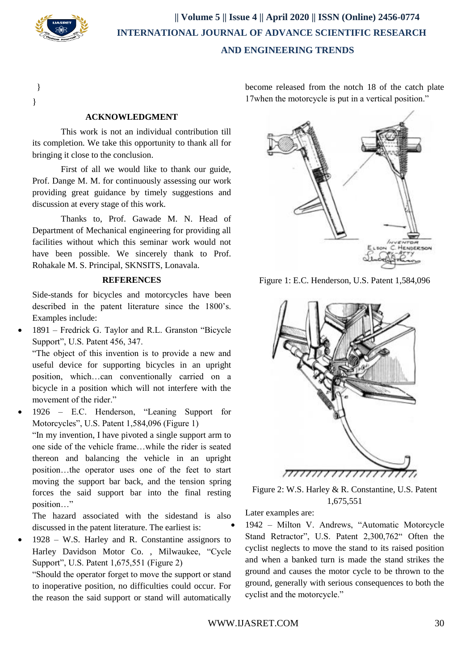

 } }

#### **ACKNOWLEDGMENT**

This work is not an individual contribution till its completion. We take this opportunity to thank all for bringing it close to the conclusion.

First of all we would like to thank our guide, Prof. Dange M. M. for continuously assessing our work providing great guidance by timely suggestions and discussion at every stage of this work.

Thanks to, Prof. Gawade M. N. Head of Department of Mechanical engineering for providing all facilities without which this seminar work would not have been possible. We sincerely thank to Prof. Rohakale M. S. Principal, SKNSITS, Lonavala.

## **REFERENCES**

Side-stands for bicycles and motorcycles have been described in the patent literature since the 1800's. Examples include:

 1891 – Fredrick G. Taylor and R.L. Granston "Bicycle Support", U.S. Patent 456, 347.

"The object of this invention is to provide a new and useful device for supporting bicycles in an upright position, which…can conventionally carried on a bicycle in a position which will not interfere with the movement of the rider."

 1926 – E.C. Henderson, "Leaning Support for Motorcycles", U.S. Patent 1,584,096 (Figure 1)

"In my invention, I have pivoted a single support arm to one side of the vehicle frame…while the rider is seated thereon and balancing the vehicle in an upright position…the operator uses one of the feet to start moving the support bar back, and the tension spring forces the said support bar into the final resting position…"

The hazard associated with the sidestand is also discussed in the patent literature. The earliest is:

 1928 – W.S. Harley and R. Constantine assignors to Harley Davidson Motor Co. , Milwaukee, "Cycle Support", U.S. Patent 1,675,551 (Figure 2)

"Should the operator forget to move the support or stand to inoperative position, no difficulties could occur. For the reason the said support or stand will automatically become released from the notch 18 of the catch plate 17when the motorcycle is put in a vertical position."



Figure 1: E.C. Henderson, U.S. Patent 1,584,096



Figure 2: W.S. Harley & R. Constantine, U.S. Patent 1,675,551

Later examples are:

 1942 – Milton V. Andrews, "Automatic Motorcycle Stand Retractor", U.S. Patent 2,300,762" Often the cyclist neglects to move the stand to its raised position and when a banked turn is made the stand strikes the ground and causes the motor cycle to be thrown to the ground, generally with serious consequences to both the cyclist and the motorcycle."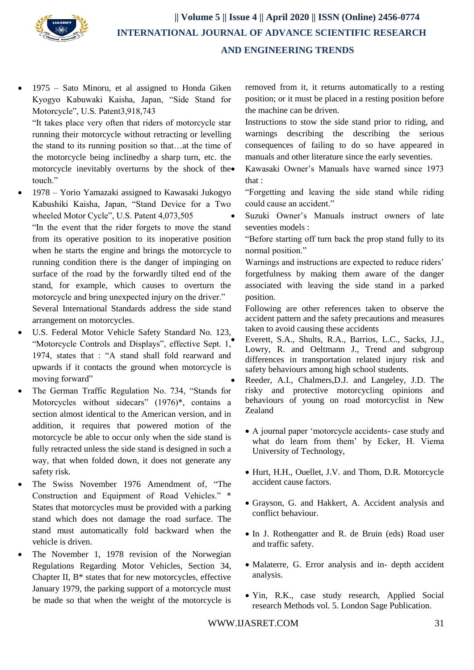

 1975 – Sato Minoru, et al assigned to Honda Giken Kyogyo Kabuwaki Kaisha, Japan, "Side Stand for Motorcycle", U.S. Patent3,918,743

"It takes place very often that riders of motorcycle star running their motorcycle without retracting or levelling the stand to its running position so that…at the time of the motorcycle being inclinedby a sharp turn, etc. the motorcycle inevitably overturns by the shock of the touch"

 1978 – Yorio Yamazaki assigned to Kawasaki Jukogyo Kabushiki Kaisha, Japan, "Stand Device for a Two wheeled Motor Cycle", U.S. Patent 4,073,505 "In the event that the rider forgets to move the stand from its operative position to its inoperative position when he starts the engine and brings the motorcycle to running condition there is the danger of impinging on surface of the road by the forwardly tilted end of the stand, for example, which causes to overturn the motorcycle and bring unexpected injury on the driver." Several International Standards address the side stand arrangement on motorcycles.

- U.S. Federal Motor Vehicle Safety Standard No. 123, "Motorcycle Controls and Displays", effective Sept. 1, 1974, states that : "A stand shall fold rearward and upwards if it contacts the ground when motorcycle is moving forward"
- The German Traffic Regulation No. 734, "Stands for Motorcycles without sidecars" (1976)\*, contains a section almost identical to the American version, and in addition, it requires that powered motion of the motorcycle be able to occur only when the side stand is fully retracted unless the side stand is designed in such a way, that when folded down, it does not generate any safety risk.
- The Swiss November 1976 Amendment of, "The Construction and Equipment of Road Vehicles." \* States that motorcycles must be provided with a parking stand which does not damage the road surface. The stand must automatically fold backward when the vehicle is driven.
- The November 1, 1978 revision of the Norwegian Regulations Regarding Motor Vehicles, Section 34, Chapter II, B\* states that for new motorcycles, effective January 1979, the parking support of a motorcycle must be made so that when the weight of the motorcycle is

removed from it, it returns automatically to a resting position; or it must be placed in a resting position before the machine can be driven.

Instructions to stow the side stand prior to riding, and warnings describing the describing the serious consequences of failing to do so have appeared in manuals and other literature since the early seventies.

 Kawasaki Owner's Manuals have warned since 1973 that :

"Forgetting and leaving the side stand while riding could cause an accident."

 Suzuki Owner's Manuals instruct owners of late seventies models :

"Before starting off turn back the prop stand fully to its normal position."

Warnings and instructions are expected to reduce riders' forgetfulness by making them aware of the danger associated with leaving the side stand in a parked position.

Following are other references taken to observe the accident pattern and the safety precautions and measures taken to avoid causing these accidents

 Everett, S.A., Shults, R.A., Barrios, L.C., Sacks, J.J., Lowry, R. and Oeltmann J., Trend and subgroup differences in transportation related injury risk and safety behaviours among high school students.

 Reeder, A.I., Chalmers,D.J. and Langeley, J.D. The risky and protective motorcycling opinions and behaviours of young on road motorcyclist in New Zealand

- A journal paper 'motorcycle accidents- case study and what do learn from them' by Ecker, H. Viema University of Technology,
- Hurt, H.H., Ouellet, J.V. and Thom, D.R. Motorcycle accident cause factors.
- Grayson, G. and Hakkert, A. Accident analysis and conflict behaviour.
- In J. Rothengatter and R. de Bruin (eds) Road user and traffic safety.
- Malaterre, G. Error analysis and in-depth accident analysis.
- Yin, R.K., case study research, Applied Social research Methods vol. 5. London Sage Publication.